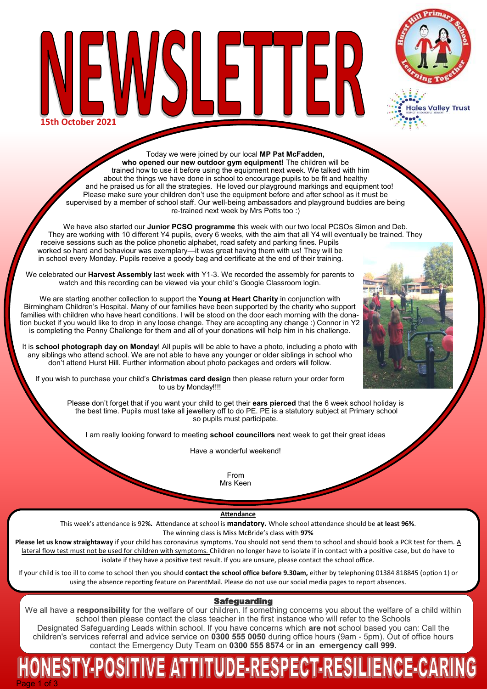

ales Valley Trust

SLET ╟╠ **15th October 2021**

Today we were joined by our local **MP Pat McFadden, who opened our new outdoor gym equipment!** The children will be trained how to use it before using the equipment next week. We talked with him about the things we have done in school to encourage pupils to be fit and healthy and he praised us for all the strategies. He loved our playground markings and equipment too! Please make sure your children don't use the equipment before and after school as it must be supervised by a member of school staff. Our well-being ambassadors and playground buddies are being re-trained next week by Mrs Potts too :)

We have also started our **Junior PCSO programme** this week with our two local PCSOs Simon and Deb. They are working with 10 different Y4 pupils, every 6 weeks, with the aim that all Y4 will eventually be trained. They receive sessions such as the police phonetic alphabet, road safety and parking fines. Pupils worked so hard and behaviour was exemplary—it was great having them with us! They will be in school every Monday. Pupils receive a goody bag and certificate at the end of their training.

We celebrated our **Harvest Assembly** last week with Y1-3. We recorded the assembly for parents to watch and this recording can be viewed via your child's Google Classroom login.

We are starting another collection to support the **Young at Heart Charity** in conjunction with Birmingham Children's Hospital. Many of our families have been supported by the charity who support families with children who have heart conditions. I will be stood on the door each morning with the donation bucket if you would like to drop in any loose change. They are accepting any change :) Connor in Y2 is completing the Penny Challenge for them and all of your donations will help him in his challenge.

It is **school photograph day on Monday**! All pupils will be able to have a photo, including a photo with any siblings who attend school. We are not able to have any younger or older siblings in school who don't attend Hurst Hill. Further information about photo packages and orders will follow.

If you wish to purchase your child's **Christmas card design** then please return your order form to us by Monday!!!!

> Please don't forget that if you want your child to get their **ears pierced** that the 6 week school holiday is the best time. Pupils must take all jewellery off to do PE. PE is a statutory subject at Primary school so pupils must participate.

I am really looking forward to meeting **school councillors** next week to get their great ideas

Have a wonderful weekend!

From Mrs Keen

**Attendance**

This week's attendance is 92**%.** Attendance at school is **mandatory.** Whole school attendance should be **at least 96%**. The winning class is Miss McBride's class with **97%**

**Please let us know straightaway** if your child has coronavirus symptoms. You should not send them to school and should book a PCR test for them. A lateral flow test must not be used for children with symptoms. Children no longer have to isolate if in contact with a positive case, but do have to isolate if they have a positive test result. If you are unsure, please contact the school office.

If your child is too ill to come to school then you should **contact the school office before 9.30am,** either by telephoning 01384 818845 (option 1) or using the absence reporting feature on ParentMail. Please do not use our social media pages to report absences.

# **Safeguarding**

We all have a **responsibility** for the welfare of our children. If something concerns you about the welfare of a child within school then please contact the class teacher in the first instance who will refer to the Schools Designated Safeguarding Leads within school. If you have concerns which **are not** school based you can: Call the children's services referral and advice service on **0300 555 0050** during office hours (9am - 5pm). Out of office hours contact the Emergency Duty Team on **0300 555 8574** or **in an emergency call 999.** 

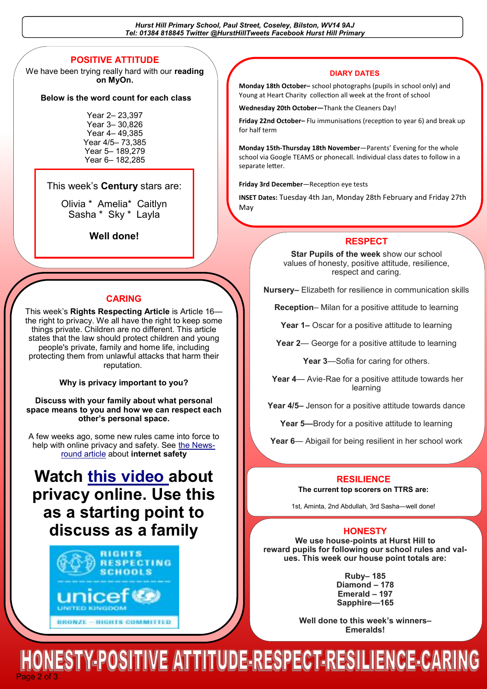*Hurst Hill Primary School, Paul Street, Coseley, Bilston, WV14 9AJ Tel: 01384 818845 Twitter @HurstHillTweets Facebook Hurst Hill Primary*

# **POSITIVE ATTITUDE**

We have been trying really hard with our **reading on MyOn.** 

#### **Below is the word count for each class**

Year 2– 23,397 Year 3– 30,826 Year 4– 49,385 Year 4/5– 73,385 Year 5– 189,279 Year 6– 182,285

#### This week's **Century** stars are:

Olivia \* Amelia\* Caitlyn Sasha \* Sky \* Layla

**Well done!** 

#### **CARING**

This week's **Rights Respecting Article** is Article 16 the right to privacy. We all have the right to keep some things private. Children are no different. This article states that the law should protect children and young people's private, family and home life, including protecting them from unlawful attacks that harm their reputation.

**Why is privacy important to you?**

#### **Discuss with your family about what personal space means to you and how we can respect each other's personal space.**

A few weeks ago, some new rules came into force to help with online privacy and safety. See [the News](https://www.bbc.co.uk/newsround/51203484)[round article](https://www.bbc.co.uk/newsround/51203484) about **internet safety**

# **Watch [this video a](https://youtu.be/yiKeLOKc1tw)bout privacy online. Use this as a starting point to discuss as a family**



#### **DIARY DATES**

**Monday 18th October–** school photographs (pupils in school only) and Young at Heart Charity collection all week at the front of school

**Wednesday 20th October—**Thank the Cleaners Day!

**Friday 22nd October–** Flu immunisations (reception to year 6) and break up for half term

**Monday 15th-Thursday 18th November**—Parents' Evening for the whole school via Google TEAMS or phonecall. Individual class dates to follow in a separate letter.

**Friday 3rd December**—Reception eye tests

**INSET Dates:** Tuesday 4th Jan, Monday 28th February and Friday 27th May

#### **RESPECT**

**Star Pupils of the week** show our school values of honesty, positive attitude, resilience, respect and caring.

**Nursery–** Elizabeth for resilience in communication skills

**Reception**– Milan for a positive attitude to learning

**Year 1–** Oscar for a positive attitude to learning

**Year 2**— George for a positive attitude to learning

**Year 3**—Sofia for caring for others.

**Year 4**— Avie-Rae for a positive attitude towards her learning

**Year 4/5–** Jenson for a positive attitude towards dance

**Year 5—Brody for a positive attitude to learning** 

**Year 6**— Abigail for being resilient in her school work

#### **RESILIENCE**

**The current top scorers on TTRS are:**

1st, Aminta, 2nd Abdullah, 3rd Sasha—well done!

#### **HONESTY**

**We use house-points at Hurst Hill to reward pupils for following our school rules and values. This week our house point totals are:**

> **Ruby– 185 Diamond – 178 Emerald – 197 Sapphire—165**

**Well done to this week's winners– Emeralds!**

Page 2 of 3